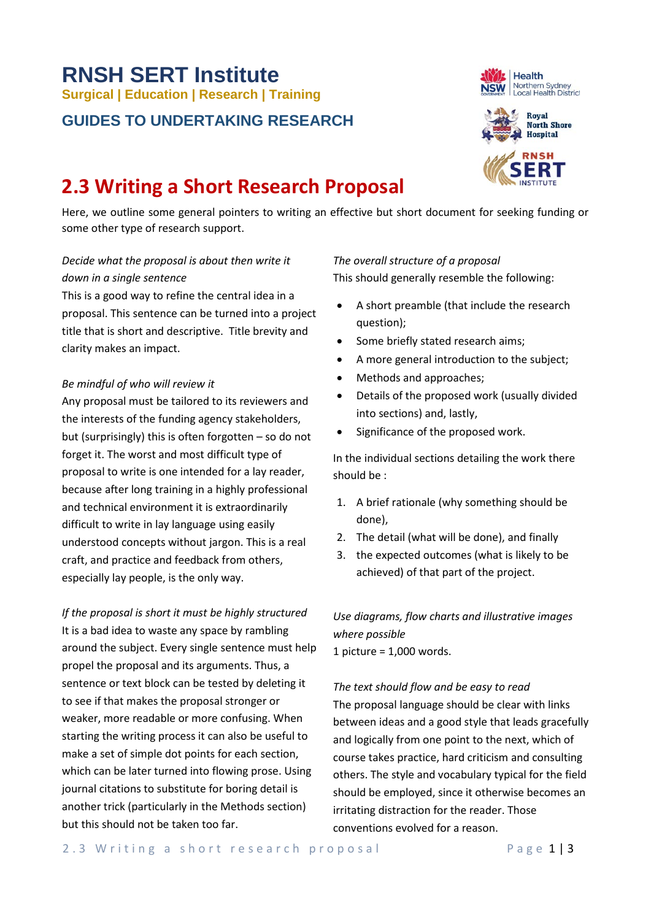# **RNSH SERT Institute Surgical | Education | Research | Training**

# **GUIDES TO UNDERTAKING RESEARCH**

# **2.3 Writing a Short Research Proposal**

Here, we outline some general pointers to writing an effective but short document for seeking funding or some other type of research support.

# *Decide what the proposal is about then write it down in a single sentence*

This is a good way to refine the central idea in a proposal. This sentence can be turned into a project title that is short and descriptive. Title brevity and clarity makes an impact.

#### *Be mindful of who will review it*

Any proposal must be tailored to its reviewers and the interests of the funding agency stakeholders, but (surprisingly) this is often forgotten – so do not forget it. The worst and most difficult type of proposal to write is one intended for a lay reader, because after long training in a highly professional and technical environment it is extraordinarily difficult to write in lay language using easily understood concepts without jargon. This is a real craft, and practice and feedback from others, especially lay people, is the only way.

*If the proposal is short it must be highly structured* It is a bad idea to waste any space by rambling around the subject. Every single sentence must help propel the proposal and its arguments. Thus, a sentence or text block can be tested by deleting it to see if that makes the proposal stronger or weaker, more readable or more confusing. When starting the writing process it can also be useful to make a set of simple dot points for each section, which can be later turned into flowing prose. Using journal citations to substitute for boring detail is another trick (particularly in the Methods section) but this should not be taken too far.

#### *The overall structure of a proposal*

This should generally resemble the following:

- A short preamble (that include the research question);
- Some briefly stated research aims;
- A more general introduction to the subject;
- Methods and approaches;
- Details of the proposed work (usually divided into sections) and, lastly,
- Significance of the proposed work.

In the individual sections detailing the work there should be :

- 1. A brief rationale (why something should be done),
- 2. The detail (what will be done), and finally
- 3. the expected outcomes (what is likely to be achieved) of that part of the project.

*Use diagrams, flow charts and illustrative images where possible* 1 picture = 1,000 words.

*The text should flow and be easy to read*

The proposal language should be clear with links between ideas and a good style that leads gracefully and logically from one point to the next, which of course takes practice, hard criticism and consulting others. The style and vocabulary typical for the field should be employed, since it otherwise becomes an irritating distraction for the reader. Those conventions evolved for a reason.



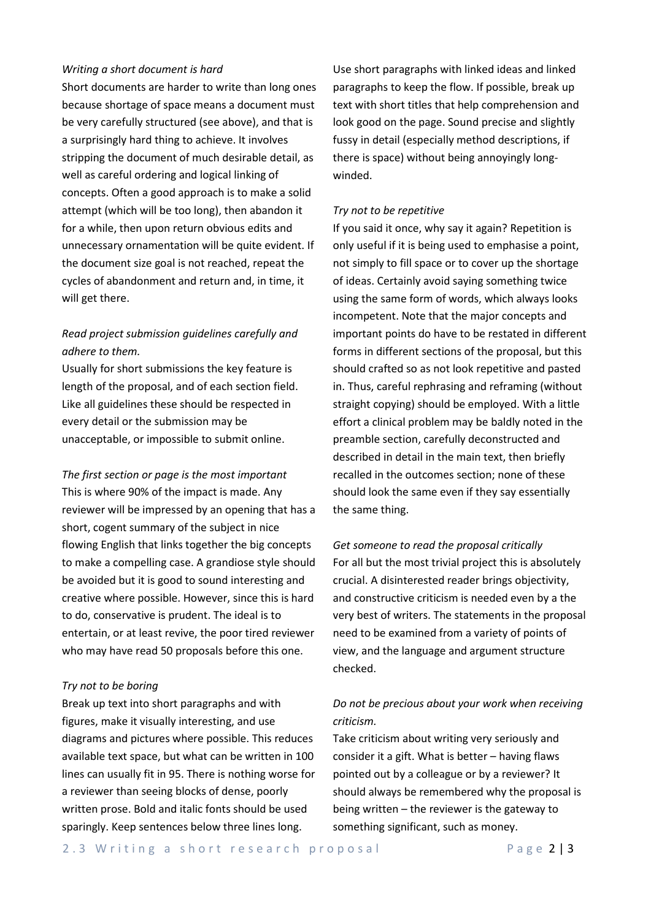#### *Writing a short document is hard*

Short documents are harder to write than long ones because shortage of space means a document must be very carefully structured (see above), and that is a surprisingly hard thing to achieve. It involves stripping the document of much desirable detail, as well as careful ordering and logical linking of concepts. Often a good approach is to make a solid attempt (which will be too long), then abandon it for a while, then upon return obvious edits and unnecessary ornamentation will be quite evident. If the document size goal is not reached, repeat the cycles of abandonment and return and, in time, it will get there.

## *Read project submission guidelines carefully and adhere to them.*

Usually for short submissions the key feature is length of the proposal, and of each section field. Like all guidelines these should be respected in every detail or the submission may be unacceptable, or impossible to submit online.

*The first section or page is the most important* This is where 90% of the impact is made. Any reviewer will be impressed by an opening that has a short, cogent summary of the subject in nice flowing English that links together the big concepts to make a compelling case. A grandiose style should be avoided but it is good to sound interesting and creative where possible. However, since this is hard to do, conservative is prudent. The ideal is to entertain, or at least revive, the poor tired reviewer who may have read 50 proposals before this one.

#### *Try not to be boring*

Break up text into short paragraphs and with figures, make it visually interesting, and use diagrams and pictures where possible. This reduces available text space, but what can be written in 100 lines can usually fit in 95. There is nothing worse for a reviewer than seeing blocks of dense, poorly written prose. Bold and italic fonts should be used sparingly. Keep sentences below three lines long.

Use short paragraphs with linked ideas and linked paragraphs to keep the flow. If possible, break up text with short titles that help comprehension and look good on the page. Sound precise and slightly fussy in detail (especially method descriptions, if there is space) without being annoyingly longwinded.

#### *Try not to be repetitive*

If you said it once, why say it again? Repetition is only useful if it is being used to emphasise a point, not simply to fill space or to cover up the shortage of ideas. Certainly avoid saying something twice using the same form of words, which always looks incompetent. Note that the major concepts and important points do have to be restated in different forms in different sections of the proposal, but this should crafted so as not look repetitive and pasted in. Thus, careful rephrasing and reframing (without straight copying) should be employed. With a little effort a clinical problem may be baldly noted in the preamble section, carefully deconstructed and described in detail in the main text, then briefly recalled in the outcomes section; none of these should look the same even if they say essentially the same thing.

*Get someone to read the proposal critically* For all but the most trivial project this is absolutely crucial. A disinterested reader brings objectivity, and constructive criticism is needed even by a the very best of writers. The statements in the proposal need to be examined from a variety of points of view, and the language and argument structure checked.

## *Do not be precious about your work when receiving criticism.*

Take criticism about writing very seriously and consider it a gift. What is better – having flaws pointed out by a colleague or by a reviewer? It should always be remembered why the proposal is being written – the reviewer is the gateway to something significant, such as money.